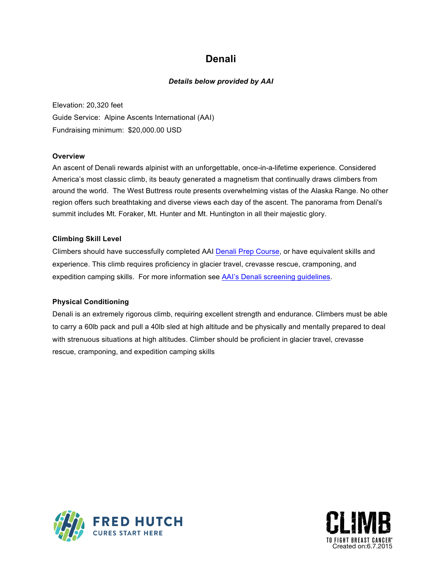## **Denali**

### *Details below provided by AAI*

Elevation: 20,320 feet Guide Service: Alpine Ascents International (AAI) Fundraising minimum: \$20,000.00 USD

#### **Overview**

An ascent of Denali rewards alpinist with an unforgettable, once-in-a-lifetime experience. Considered America's most classic climb, its beauty generated a magnetism that continually draws climbers from around the world. The West Buttress route presents overwhelming vistas of the Alaska Range. No other region offers such breathtaking and diverse views each day of the ascent. The panorama from Denali's summit includes Mt. Foraker, Mt. Hunter and Mt. Huntington in all their majestic glory.

#### **Climbing Skill Level**

Climbers should have successfully completed AAI Denali Prep [Course,](https://www.alpineascents.com/climbs/denali/training/) or have equivalent skills and experience. This climb requires proficiency in glacier travel, crevasse rescue, cramponing, and expedition camping skills. For more information see AAI's Denali screening [guidelines.](https://www.alpineascents.com/climbs/denali/training/#screening)

#### **Physical Conditioning**

Denali is an extremely rigorous climb, requiring excellent strength and endurance. Climbers must be able to carry a 60lb pack and pull a 40lb sled at high altitude and be physically and mentally prepared to deal with strenuous situations at high altitudes. Climber should be proficient in glacier travel, crevasse rescue, cramponing, and expedition camping skills



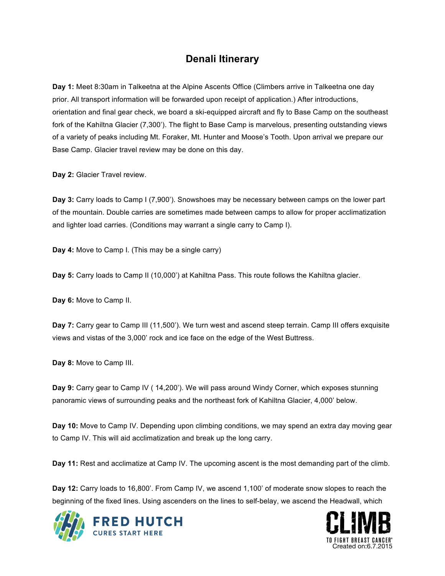## **Denali Itinerary**

**Day 1:** Meet 8:30am in Talkeetna at the Alpine Ascents Office (Climbers arrive in Talkeetna one day prior. All transport information will be forwarded upon receipt of application.) After introductions, orientation and final gear check, we board a ski-equipped aircraft and fly to Base Camp on the southeast fork of the Kahiltna Glacier (7,300'). The flight to Base Camp is marvelous, presenting outstanding views of a variety of peaks including Mt. Foraker, Mt. Hunter and Moose's Tooth. Upon arrival we prepare our Base Camp. Glacier travel review may be done on this day.

**Day 2:** Glacier Travel review.

**Day 3:** Carry loads to Camp I (7,900'). Snowshoes may be necessary between camps on the lower part of the mountain. Double carries are sometimes made between camps to allow for proper acclimatization and lighter load carries. (Conditions may warrant a single carry to Camp I).

**Day 4:** Move to Camp I. (This may be a single carry)

**Day 5:** Carry loads to Camp II (10,000') at Kahiltna Pass. This route follows the Kahiltna glacier.

**Day 6:** Move to Camp II.

**Day 7:** Carry gear to Camp III (11,500'). We turn west and ascend steep terrain. Camp III offers exquisite views and vistas of the 3,000' rock and ice face on the edge of the West Buttress.

**Day 8:** Move to Camp III.

**Day 9:** Carry gear to Camp IV ( 14,200'). We will pass around Windy Corner, which exposes stunning panoramic views of surrounding peaks and the northeast fork of Kahiltna Glacier, 4,000' below.

**Day 10:** Move to Camp IV. Depending upon climbing conditions, we may spend an extra day moving gear to Camp IV. This will aid acclimatization and break up the long carry.

**Day 11:** Rest and acclimatize at Camp IV. The upcoming ascent is the most demanding part of the climb.

**Day 12:** Carry loads to 16,800'. From Camp IV, we ascend 1,100' of moderate snow slopes to reach the beginning of the fixed lines. Using ascenders on the lines to self-belay, we ascend the Headwall, which



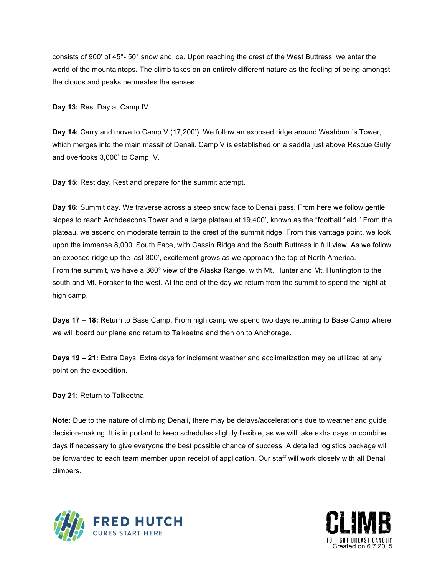consists of 900' of 45°- 50° snow and ice. Upon reaching the crest of the West Buttress, we enter the world of the mountaintops. The climb takes on an entirely different nature as the feeling of being amongst the clouds and peaks permeates the senses.

**Day 13:** Rest Day at Camp IV.

**Day 14:** Carry and move to Camp V (17,200'). We follow an exposed ridge around Washburn's Tower, which merges into the main massif of Denali. Camp V is established on a saddle just above Rescue Gully and overlooks 3,000' to Camp IV.

**Day 15:** Rest day. Rest and prepare for the summit attempt.

**Day 16:** Summit day. We traverse across a steep snow face to Denali pass. From here we follow gentle slopes to reach Archdeacons Tower and a large plateau at 19,400', known as the "football field." From the plateau, we ascend on moderate terrain to the crest of the summit ridge. From this vantage point, we look upon the immense 8,000' South Face, with Cassin Ridge and the South Buttress in full view. As we follow an exposed ridge up the last 300', excitement grows as we approach the top of North America. From the summit, we have a 360° view of the Alaska Range, with Mt. Hunter and Mt. Huntington to the south and Mt. Foraker to the west. At the end of the day we return from the summit to spend the night at high camp.

**Days 17 – 18:** Return to Base Camp. From high camp we spend two days returning to Base Camp where we will board our plane and return to Talkeetna and then on to Anchorage.

**Days 19 – 21:** Extra Days. Extra days for inclement weather and acclimatization may be utilized at any point on the expedition.

**Day 21:** Return to Talkeetna.

**Note:** Due to the nature of climbing Denali, there may be delays/accelerations due to weather and guide decision-making. It is important to keep schedules slightly flexible, as we will take extra days or combine days if necessary to give everyone the best possible chance of success. A detailed logistics package will be forwarded to each team member upon receipt of application. Our staff will work closely with all Denali climbers.